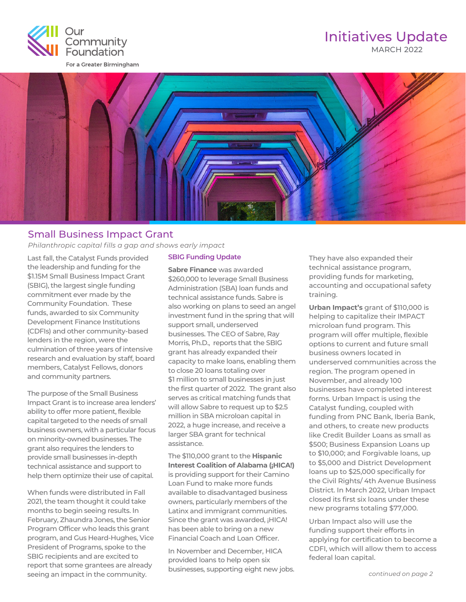

## MARCH 2022 Initiatives Update



### Small Business Impact Grant

*Philanthropic capital fills a gap and shows early impact*

Last fall, the Catalyst Funds provided the leadership and funding for the \$1.15M Small Business Impact Grant (SBIG), the largest single funding commitment ever made by the Community Foundation. These funds, awarded to six Community Development Finance Institutions (CDFIs) and other community-based lenders in the region, were the culmination of three years of intensive research and evaluation by staff, board members, Catalyst Fellows, donors and community partners.

The purpose of the Small Business Impact Grant is to increase area lenders' ability to offer more patient, flexible capital targeted to the needs of small business owners, with a particular focus on minority-owned businesses. The grant also requires the lenders to provide small businesses in-depth technical assistance and support to help them optimize their use of capital.

When funds were distributed in Fall 2021, the team thought it could take months to begin seeing results. In February, Zhaundra Jones, the Senior Program Officer who leads this grant program, and Gus Heard-Hughes, Vice President of Programs, spoke to the SBIG recipients and are excited to report that some grantees are already seeing an impact in the community.

### **SBIG Funding Update**

**Sabre Finance** was awarded \$260,000 to leverage Small Business Administration (SBA) loan funds and technical assistance funds. Sabre is also working on plans to seed an angel investment fund in the spring that will support small, underserved businesses. The CEO of Sabre, Ray Morris, Ph.D., reports that the SBIG grant has already expanded their capacity to make loans, enabling them to close 20 loans totaling over \$1 million to small businesses in just the first quarter of 2022. The grant also serves as critical matching funds that will allow Sabre to request up to \$2.5 million in SBA microloan capital in 2022, a huge increase, and receive a larger SBA grant for technical assistance.

The \$110,000 grant to the **Hispanic Interest Coalition of Alabama (¡HICA!)** is providing support for their Camino Loan Fund to make more funds available to disadvantaged business owners, particularly members of the Latinx and immigrant communities. Since the grant was awarded, ¡HICA! has been able to bring on a new Financial Coach and Loan Officer.

In November and December, HICA provided loans to help open six businesses, supporting eight new jobs. They have also expanded their technical assistance program, providing funds for marketing, accounting and occupational safety training.

**Urban Impact's** grant of \$110,000 is helping to capitalize their IMPACT microloan fund program. This program will offer multiple, flexible options to current and future small business owners located in underserved communities across the region. The program opened in November, and already 100 businesses have completed interest forms. Urban Impact is using the Catalyst funding, coupled with funding from PNC Bank, Iberia Bank, and others, to create new products like Credit Builder Loans as small as \$500; Business Expansion Loans up to \$10,000; and Forgivable loans, up to \$5,000 and District Development loans up to \$25,000 specifically for the Civil Rights/ 4th Avenue Business District. In March 2022, Urban Impact closed its first six loans under these new programs totaling \$77,000.

Urban Impact also will use the funding support their efforts in applying for certification to become a CDFI, which will allow them to access federal loan capital.